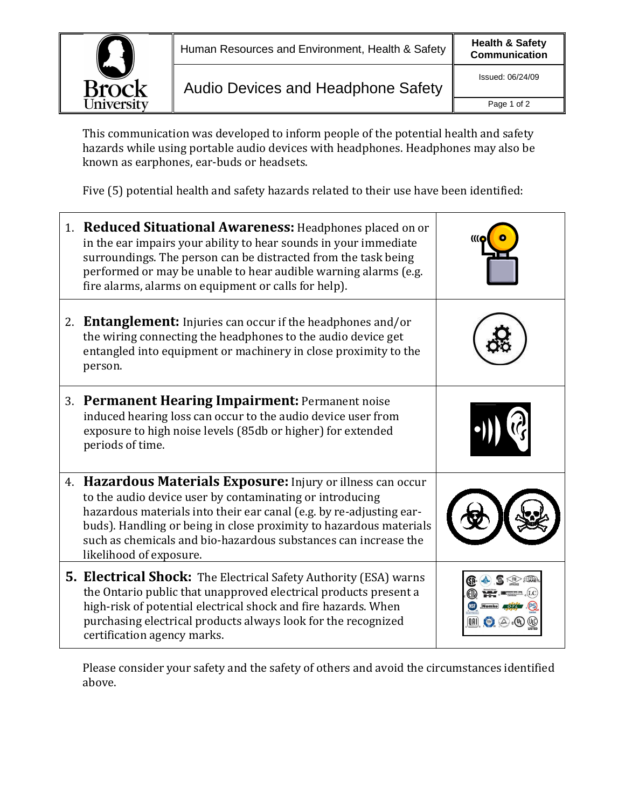

This communication was developed to inform people of the potential health and safety hazards while using portable audio devices with headphones. Headphones may also be known as earphones, ear-buds or headsets.

Five (5) potential health and safety hazards related to their use have been identified:

|    | 1. Reduced Situational Awareness: Headphones placed on or<br>in the ear impairs your ability to hear sounds in your immediate<br>surroundings. The person can be distracted from the task being<br>performed or may be unable to hear audible warning alarms (e.g.<br>fire alarms, alarms on equipment or calls for help).                                          |  |
|----|---------------------------------------------------------------------------------------------------------------------------------------------------------------------------------------------------------------------------------------------------------------------------------------------------------------------------------------------------------------------|--|
| 2. | <b>Entanglement:</b> Injuries can occur if the headphones and/or<br>the wiring connecting the headphones to the audio device get<br>entangled into equipment or machinery in close proximity to the<br>person.                                                                                                                                                      |  |
| 3. | <b>Permanent Hearing Impairment: Permanent noise</b><br>induced hearing loss can occur to the audio device user from<br>exposure to high noise levels (85db or higher) for extended<br>periods of time.                                                                                                                                                             |  |
|    | 4. Hazardous Materials Exposure: Injury or illness can occur<br>to the audio device user by contaminating or introducing<br>hazardous materials into their ear canal (e.g. by re-adjusting ear-<br>buds). Handling or being in close proximity to hazardous materials<br>such as chemicals and bio-hazardous substances can increase the<br>likelihood of exposure. |  |
|    | <b>5. Electrical Shock:</b> The Electrical Safety Authority (ESA) warns<br>the Ontario public that unapproved electrical products present a<br>high-risk of potential electrical shock and fire hazards. When<br>purchasing electrical products always look for the recognized<br>certification agency marks.                                                       |  |

Please consider your safety and the safety of others and avoid the circumstances identified above.